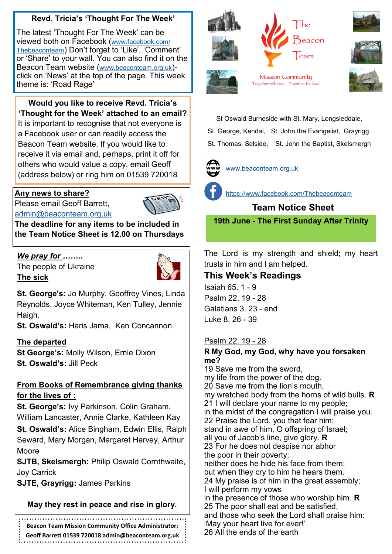# **Revd. Tricia's 'Thought For The Week'**

The latest 'Thought For The Week' can be viewed both on Facebook ([www.facebook.com/](https://www.facebook.com/Thebeaconteam) [Thebeaconteam](https://www.facebook.com/Thebeaconteam)) Don't forget to 'Like', 'Comment' or 'Share' to your wall. You can also find it on the Beacon Team website ([www.beaconteam.org.uk](http://www.beaconteam.org.uk/)) click on 'News' at the top of the page. This week theme is: 'Road Rage'

**Would you like to receive Revd. Tricia's 'Thought for the Week' attached to an email?** It is important to recognise that not everyone is a Facebook user or can readily access the Beacon Team website. If you would like to receive it via email and, perhaps, print it off for others who would value a copy, email Geoff (address below) or ring him on 01539 720018

### **Any news to share?**

Please email Geoff Barrett, [admin@beaconteam.org.uk](mailto:admin@beaconteam.org.uk) 



**The deadline for any items to be included in the Team Notice Sheet is 12.00 on Thursdays**

# *We pray for ……..*

The people of Ukraine **The sick**



**St. George's:** Jo Murphy, Geoffrey Vines, Linda Reynolds, Joyce Whiteman, Ken Tulley, Jennie Haigh.

**St. Oswald's:** Haris Jama, Ken Concannon.

### **The departed**

**St George's:** Molly Wilson, Ernie Dixon **St. Oswald's:** Jill Peck

### **From Books of Remembrance giving thanks for the lives of :**

**St. George's:** Ivy Parkinson, Colin Graham, William Lancaster, Annie Clarke, Kathleen Kay

**St. Oswald's:** Alice Bingham, Edwin Ellis, Ralph Seward, Mary Morgan, Margaret Harvey, Arthur Moore

**SJTB, Skelsmergh:** Philip Oswald Cornthwaite, Joy Carrick

**SJTE, Grayrigg:** James Parkins

# **May they rest in peace and rise in glory.**

**Beacon Team Mission Community Office Administrator:** 

**Geoff Barrett 01539 720018 admin@beaconteam.org.uk**







Mission Community 'Together with God - Together for God'



St Oswald Burneside with St. Mary, Longsleddale,

St. George, Kendal, St. John the Evangelist, Grayrigg,

St. Thomas, Selside, St. John the Baptist, Skelsmergh



[www.beaconteam.org.uk](http://www.beaconteam.org.uk/)



<https://www.facebook.com/Thebeaconteam>

 **Team Notice Sheet**

**19th June - The First Sunday After Trinity**

The Lord is my strength and shield; my heart trusts in him and I am helped.

# **This Week's Readings**

Isaiah 65. 1 - 9 Psalm 22. 19 - 28 Galatians 3. 23 - end Luke 8. 26 - 39

# Psalm 22. 19 - 28

#### **R My God, my God, why have you forsaken me?**

19 Save me from the sword, my life from the power of the dog. 20 Save me from the lion's mouth, my wretched body from the horns of wild bulls. **R** 21 I will declare your name to my people; in the midst of the congregation I will praise you. 22 Praise the Lord, you that fear him; stand in awe of him, O offspring of Israel; all you of Jacob's line, give glory. **R** 23 For he does not despise nor abhor the poor in their poverty; neither does he hide his face from them; but when they cry to him he hears them. 24 My praise is of him in the great assembly; I will perform my vows in the presence of those who worship him. **R** 25 The poor shall eat and be satisfied, and those who seek the Lord shall praise him: 'May your heart live for ever!'

26 All the ends of the earth